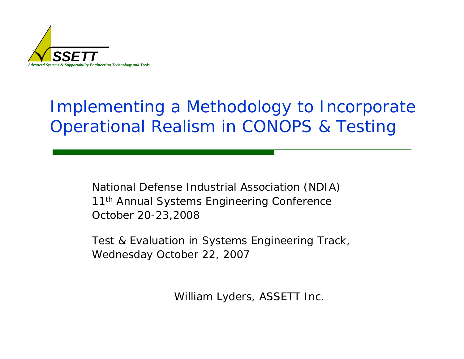

# Implementing a Methodology to Incorporate Operational Realism in CONOPS & Testing

National Defense Industrial Association (NDIA) 11<sup>th</sup> Annual Systems Engineering Conference October 20-23,2008

Test & Evaluation in Systems Engineering Track, Wednesday October 22, 2007

William Lyders, ASSETT Inc.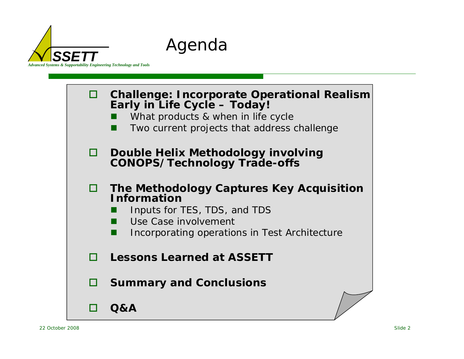



Agenda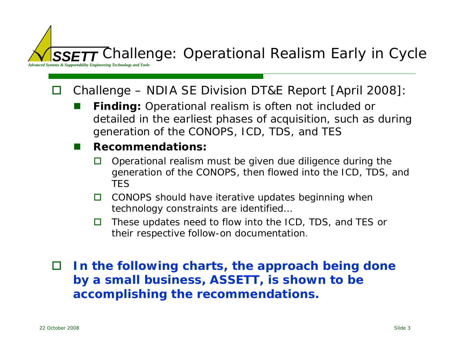*SSETT* Challenge: Operational Realism Early in Cycle

*Advanced Systems & Supportability Engineering Technology and Tools*

#### $\Box$ Challenge – NDIA SE Division DT&E Report [April 2008]:

 $\overline{\phantom{a}}$  **Finding:** Operational realism is often not included or detailed in the earliest phases of acquisition, such as during generation of the CONOPS, ICD, TDS, and TES

#### $\overline{\phantom{a}}$ **Recommendations:**

- П Operational realism must be given due diligence during the generation of the CONOPS, then flowed into the ICD, TDS, and **TFS**
- $\Box$  CONOPS should have iterative updates beginning when technology constraints are identified…
- O. These updates need to flow into the ICD, TDS, and TES or their respective follow-on documentation.

 $\Box$  *In the following charts, the approach being done by a small business, ASSETT, is shown to be accomplishing the recommendations.*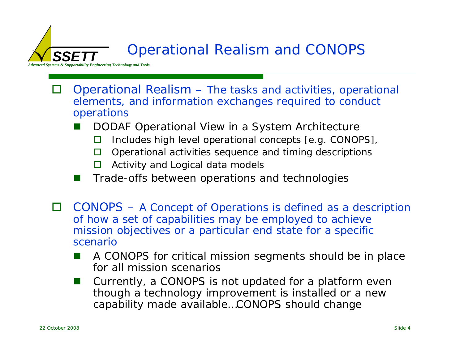## Operational Realism and CONOPS

*Advanced Systems & Supportability Engineering Technology and Tools*

- П Operational Realism – The tasks and activities, operational elements, and information exchanges required to conduct operations
	- $\overline{\phantom{a}}$  DODAF Operational View in a System Architecture
		- П Includes high level operational concepts [e.g. CONOPS],
		- П Operational activities sequence and timing descriptions
		- П Activity and Logical data models
	- $\overline{\phantom{a}}$ Trade-offs between operations and technologies
- $\Box$  CONOPS – *A Concept of Operations is defined as a description of how a set of capabilities may be employed to achieve mission objectives or a particular end state for a specific scenario*
	- $\overline{\phantom{a}}$  A CONOPS for critical mission segments should be in place for all mission scenarios
	- $\overline{\phantom{a}}$  Currently, a CONOPS is not updated for a platform even though a technology improvement is installed or a new capability made available…CONOPS should change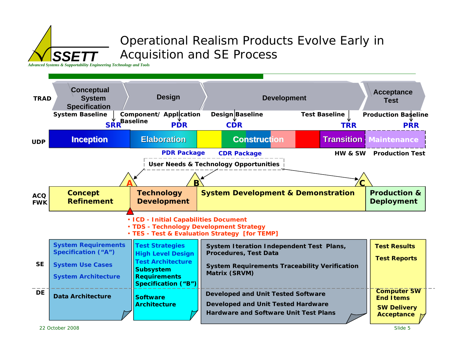## Operational Realism Products Evolve Early in Acquisition and SE Process

*Advanced Systems & Supportability Engineering Technology and Tools*

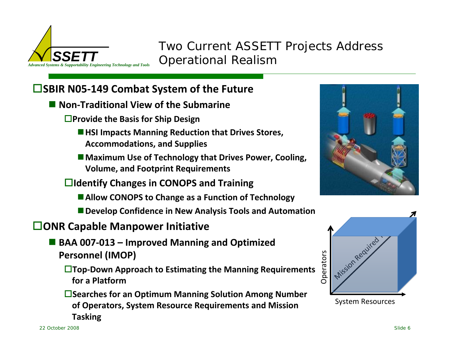

Two Current ASSETT Projects Address Operational Realism

### **SBIR N05‐149 Combat System of the Future**

- **Non‐Traditional View of the Submarine**
	- **Provide the Basis for Ship Design**
		- **HSI Impacts Manning Reduction that Drives Stores, Accommodations, and Supplies**
		- **Maximum Use of Technology that Drives Power, Cooling, Volume, and Footprint Requirements**
	- **Identify Changes in CONOPS and Training**
		- **Allow CONOPS to Change as <sup>a</sup> Function of Technology**
		- **Develop Confidence in New Analysis Tools and Automation**

### **ONR Capable Manpower Initiative**

- **BAA 007‐013 – Improved Manning and Optimized Personnel (IMOP)**
	- **Top‐Down Approach to Estimating the Manning Requirements for a Platform**
	- **Searches for an Optimum Manning Solution Among Number of Operators, System Resource Requirements and Mission Tasking**



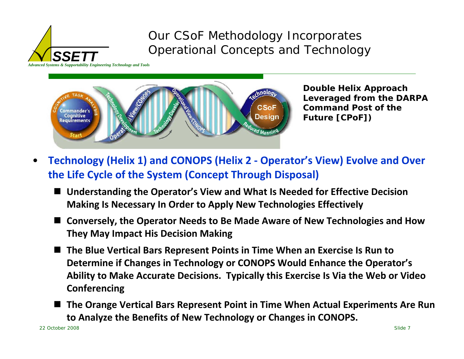

Our CSoF Methodology Incorporates Operational Concepts and Technology



**Double Helix Approach Leveraged from the DARPA Command Post of the Future [CPoF])**

- • **Technology (Helix 1) and CONOPS (Helix 2 ‐ Operator's View) Evolve and Over the Life Cycle of the System (Concept Through Disposal)**
	- **Understanding the Operator's View and What Is Needed for Effective Decision Making Is Necessary In Order to Apply New Technologies Effectively**
	- $\blacksquare$  **Conversely, the Operator Needs to Be Made Aware of New Technologies and How They May Impact His Decision Making**
	- **The Blue Vertical Bars Represent Points in Time When an Exercise Is Run to Determine if Changes in Technology or CONOPS Would Enhance the Operator's Ability to Make Accurate Decisions. Typically this Exercise Is Via the Web or Video Conferencing**
	- $\blacksquare$  **The Orange Vertical Bars Represent Point in Time When Actual Experiments Are Run to Analyze the Benefits of New Technology or Changes in CONOPS.**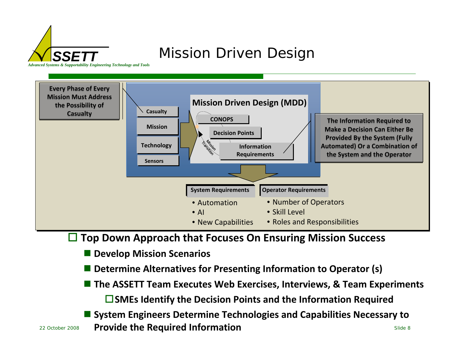

## Mission Driven Design



 $\Box$ **Top Down Approach that Focuses On Ensuring Mission Success**

#### F. **Develop Mission Scenarios**

- r. **Determine Alternatives for Presenting Information to Operator (s)**
- **The ASSETT Team Executes Web Exercises, Interviews, & Team Experiments SMEs Identify the Decision Points and the Information Required**
- **Required Information Provide the Required Information System Engineers Determine Technologies and Capabilities Necessary to**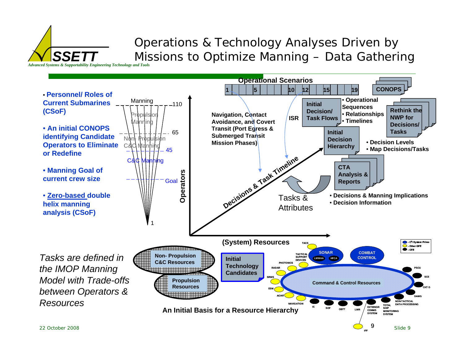### Operations & Technology Analyses Driven by Missions to Optimize Manning – Data Gathering

*Advanced Systems & Supportability Engineering Technology and Tools*

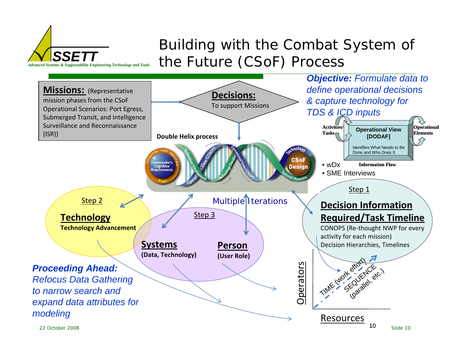## Building with the Combat System of the Future (CSoF) Process



*Advanced Systems & Supportability Engineering Technology and Tools*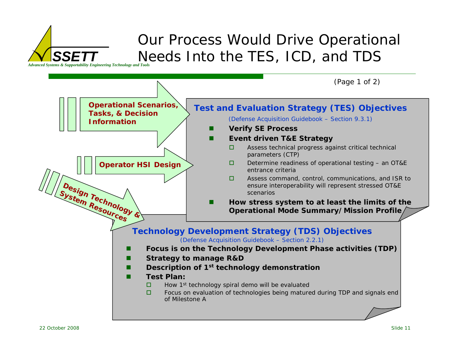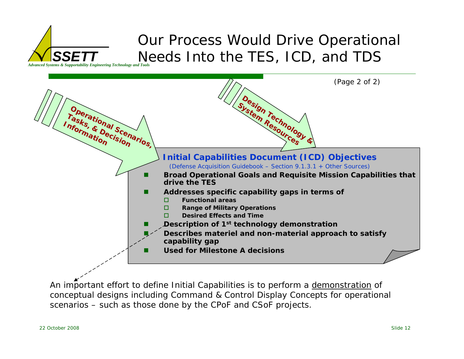## Our Process Would Drive Operational Needs Into the TES, ICD, and TDS



*SSETT*



An important effort to define Initial Capabilities is to perform a demonstration of *conceptual designs including Command & Control Display Concepts for operational scenarios – such as those done by the CPoF and CSoF projects.*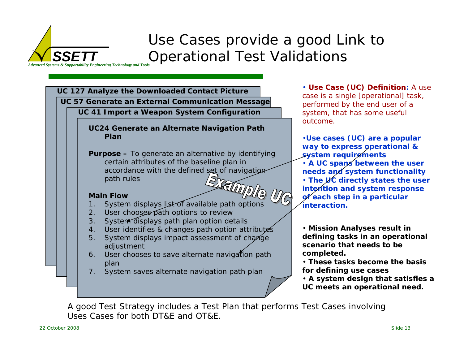### *Advanced Systems & Supportability Engineering Technology and Tools* Use Cases provide a good Link to Operational Test Validations



*performed by the end user of a system, that has some useful outcome.*

•**Use cases (UC) are a popular way to express operational & system requirements** • **A UC spans between the user needs and system functionality** • **The UC directly states the user intention and system response of each step in a particular interaction.**

• **Mission Analyses result in defining tasks in an operational scenario that needs to be completed.**

• **These tasks become the basis for defining use cases**

• **A system design that satisfies a UC meets an operational need.** 

*A good Test Strategy includes a Test Plan that performs Test Cases involving Uses Cases for both DT&E and OT&E.*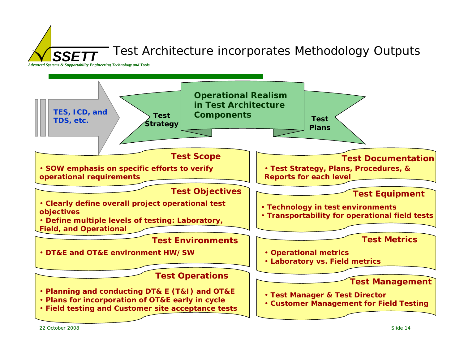SSE<sub>7</sub> Test Architecture incorporates Methodology Outputs

*Advanced Systems & Supportability Engineering Technology and Tools*

![](_page_13_Figure_2.jpeg)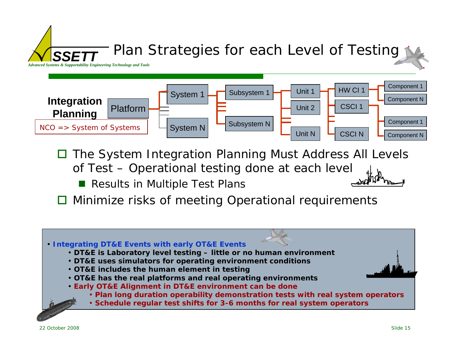![](_page_14_Figure_0.jpeg)

- $\Box$  The System Integration Planning Must Address All Levels of Test – Operational testing done at each level
	- Results in Multiple Test Plans
- **□** Minimize risks of meeting Operational requirements

- **Integrating DT&E Events with early OT&E Events**
	- **DT&E is Laboratory level testing – little or no human environment**
	- **DT&E uses simulators for operating environment conditions**
	- **OT&E includes the human element in testing**
	- **OT&E has the real platforms and real operating environments**
	- **Early OT&E Alignment in DT&E environment can be done**
		- **Plan long duration operability demonstration tests with real system operators**
		- **Schedule regular test shifts for 3-6 months for real system operators**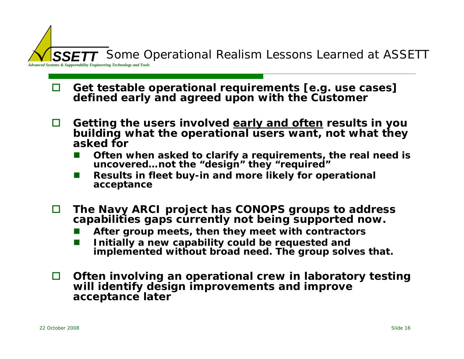![](_page_15_Picture_0.jpeg)

- n **Get testable operational requirements [e.g. use cases] defined early and agreed upon with the Customer**
- П **Getting the users involved early and often results in you building what the operational users want, not what they asked for**
	- $\mathbb{R}^3$ ■ Often when asked to clarify a requirements, the real need is **uncovered…not the "design" they "required"**
	- $\mathbb{R}^2$  **Results in fleet buy-in and more likely for operational acceptance**
- $\Box$  **The Navy ARCI project has CONOPS groups to address capabilities gaps currently not being supported now.**
	- $\mathbb{R}^3$ **After group meets, then they meet with contractors**
	- $\mathbb{R}^2$  **Initially a new capability could be requested and implemented without broad need. The group solves that.**
- П **Often involving an operational crew in laboratory testing will identify design improvements and improve acceptance later**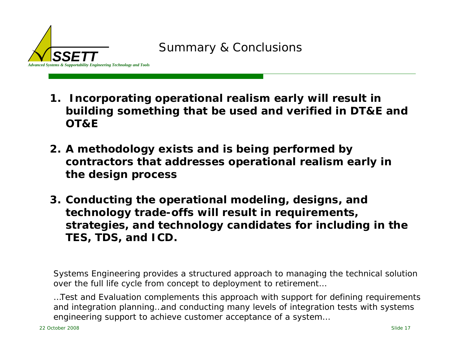![](_page_16_Picture_0.jpeg)

- **1. Incorporating operational realism early will result in building something that be used and verified in DT&E and OT&E**
- **2. A methodology exists and is being performed by contractors that addresses operational realism early in the design process**
- **3. Conducting the operational modeling, designs, and technology trade-offs will result in requirements, strategies, and technology candidates for including in the TES, TDS, and ICD.**

*Systems Engineering provides a structured approach to managing the technical solution over the full life cycle from concept to deployment to retirement…*

*…Test and Evaluation complements this approach with support for defining requirements and integration planning…and conducting many levels of integration tests with systems engineering support to achieve customer acceptance of a system…*

*Advanced Systems & Supportability Engineering Technology and Tools*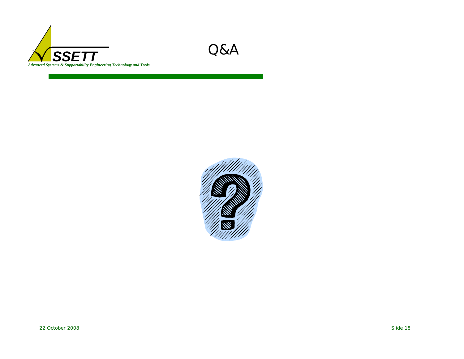![](_page_17_Picture_0.jpeg)

![](_page_17_Picture_1.jpeg)

![](_page_17_Picture_2.jpeg)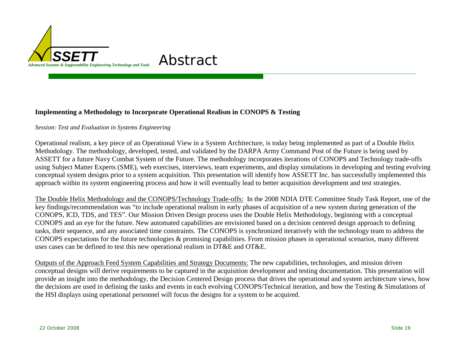![](_page_18_Picture_0.jpeg)

#### **Implementing a Methodology to Incorporate Operational Realism in CONOPS & Testing**

*Session: Test and Evaluation in Systems Engineering* 

Operational realism, a key piece of an Operational View in a System Architecture, is today being implemented as part of a Double Helix Methodology. The methodology, developed, tested, and validated by the DARPA Army Command Post of the Future is being used by ASSETT for a future Navy Combat System of the Future. The methodology incorporates iterations of CONOPS and Technology trade-offs using Subject Matter Experts (SME), web exercises, interviews, team experiments, and display simulations in developing and testing evolving conceptual system designs prior to a system acquisition. This presentation will identify how ASSETT Inc. has successfully implemented this approach within its system engineering process and how it will eventually lead to better acquisition development and test strategies.

The Double Helix Methodology and the CONOPS/Technology Trade-offs: In the 2008 NDIA DTE Committee Study Task Report, one of the key findings/recommendation was "to include operational realism in early phases of acquisition of a new system during generation of the CONOPS, ICD, TDS, and TES". Our Mission Driven Design process uses the Double Helix Methodology, beginning with a conceptual CONOPS and an eye for the future. New automated capabilities are envisioned based on a decision centered design approach to defining tasks, their sequence, and any associated time constraints. The CONOPS is synchronized iteratively with the technology team to address the CONOPS expectations for the future technologies & promising capabilities. From mission phases in operational scenarios, many different uses cases can be defined to test this new operational realism in DT&E and OT&E.

Outputs of the Approach Feed System Capabilities and Strategy Documents: The new capabilities, technologies, and mission driven conceptual designs will derive requirements to be captured in the acquisition development and testing documentation. This presentation will provide an insight into the methodology, the Decision Centered Design process that drives the operational and system architecture views, how the decisions are used in defining the tasks and events in each evolving CONOPS/Technical iteration, and how the Testing & Simulations of the HSI displays using operational personnel will focus the designs for a system to be acquired.